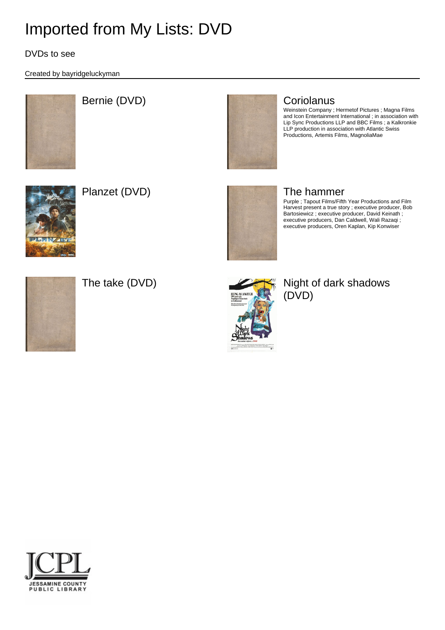DVDs to see

Created by bayridgeluckyman



## Bernie (DVD) Coriolanus



Weinstein Company ; Hermetof Pictures ; Magna Films and Icon Entertainment International ; in association with Lip Sync Productions LLP and BBC Films ; a Kalkronkie LLP production in association with Atlantic Swiss Productions, Artemis Films, MagnoliaMae



Planzet (DVD) and the hammer



Purple ; Tapout Films/Fifth Year Productions and Film Harvest present a true story ; executive producer, Bob Bartosiewicz ; executive producer, David Keinath ; executive producers, Dan Caldwell, Wali Razaqi ; executive producers, Oren Kaplan, Kip Konwiser





### The take (DVD)  $\qquad \qquad \qquad$  Night of dark shadows (DVD)

JESSAMINE COUNTY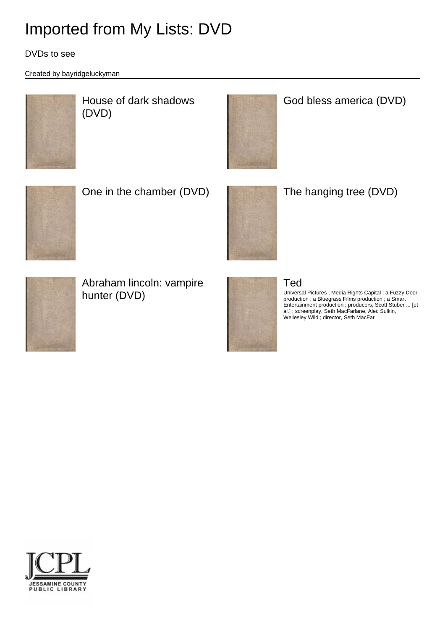### DVDs to see

Created by bayridgeluckyman



House of dark shadows (DVD)

## God bless america (DVD)



One in the chamber (DVD) The hanging tree (DVD)





Abraham lincoln: vampire hunter (DVD)



### Ted

Universal Pictures ; Media Rights Capital ; a Fuzzy Door production ; a Bluegrass Films production ; a Smart Entertainment production ; producers, Scott Stuber ... [et al.] ; screenplay, Seth MacFarlane, Alec Sulkin, Wellesley Wild ; director, Seth MacFar

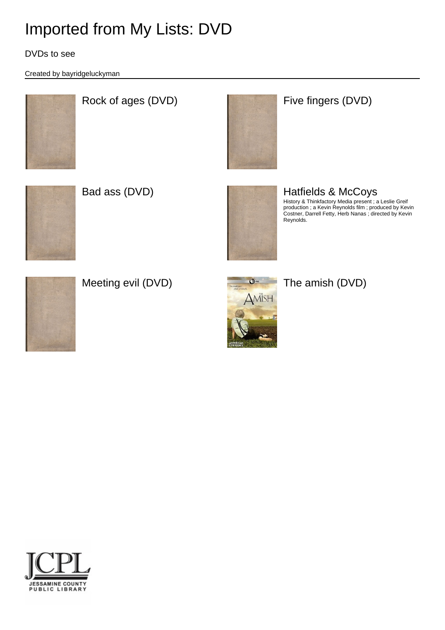DVDs to see

Created by bayridgeluckyman



# Rock of ages (DVD) **Five fingers** (DVD)







#### Bad ass (DVD) **Hatfields & McCoys** History & Thinkfactory Media present ; a Leslie Greif production ; a Kevin Reynolds film ; produced by Kevin Costner, Darrell Fetty, Herb Nanas ; directed by Kevin Reynolds.



Meeting evil (DVD)  $\qquad \qquad \bullet$  The amish (DVD)





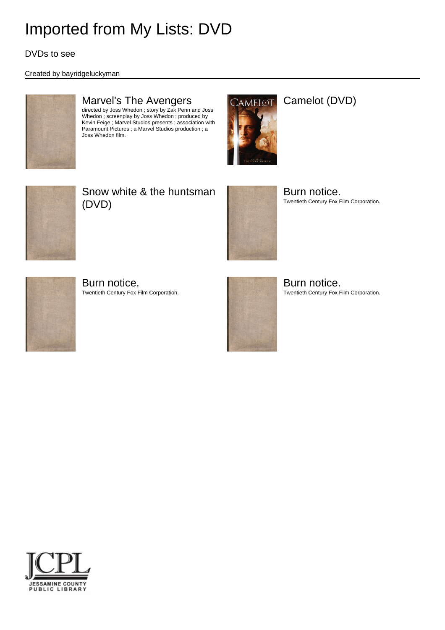DVDs to see

### Created by bayridgeluckyman



## Marvel's The Avengers

directed by Joss Whedon ; story by Zak Penn and Joss Whedon ; screenplay by Joss Whedon ; produced by Kevin Feige ; Marvel Studios presents ; association with Paramount Pictures ; a Marvel Studios production ; a Joss Whedon film.



### Camelot (DVD)



## Snow white & the huntsman (DVD)



Burn notice. Twentieth Century Fox Film Corporation.



Burn notice. Twentieth Century Fox Film Corporation.



Burn notice. Twentieth Century Fox Film Corporation.

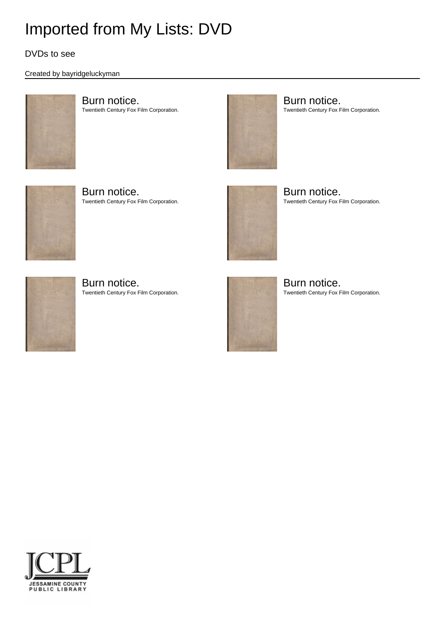### DVDs to see

#### Created by bayridgeluckyman



Burn notice. Twentieth Century Fox Film Corporation.



Burn notice. Twentieth Century Fox Film Corporation.



Burn notice. Twentieth Century Fox Film Corporation.



Burn notice. Twentieth Century Fox Film Corporation.



Burn notice. Twentieth Century Fox Film Corporation.



Burn notice. Twentieth Century Fox Film Corporation.

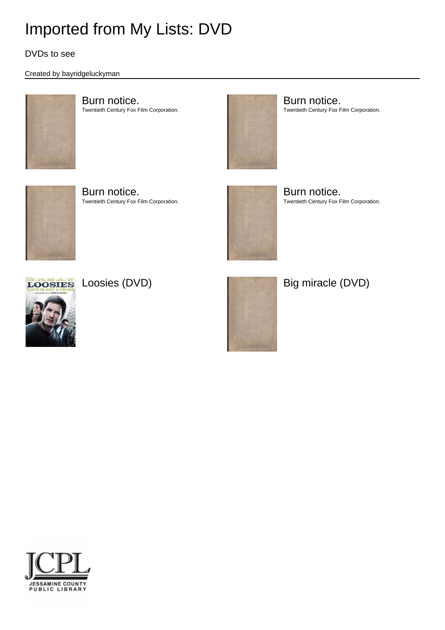### DVDs to see

#### Created by bayridgeluckyman



Burn notice. Twentieth Century Fox Film Corporation.



Burn notice. Twentieth Century Fox Film Corporation.



Burn notice. Twentieth Century Fox Film Corporation.



Burn notice. Twentieth Century Fox Film Corporation.





Loosies Loosies (DVD) and a contract and Big miracle (DVD)

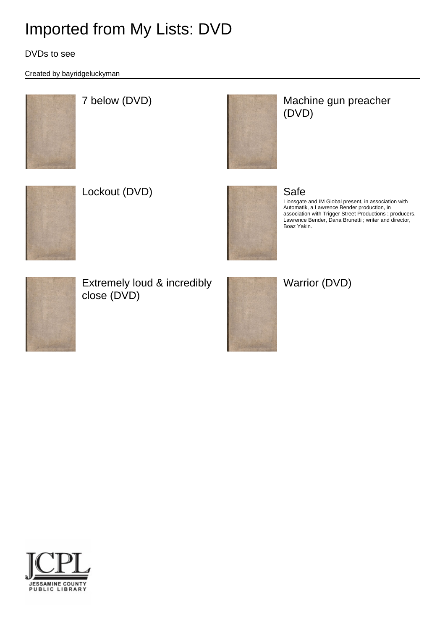### DVDs to see

Created by bayridgeluckyman



### 7 below (DVD) and the Machine gun preacher (DVD)



Lockout (DVD) and the same state of the Safe



Lionsgate and IM Global present, in association with Automatik, a Lawrence Bender production, in association with Trigger Street Productions ; producers, Lawrence Bender, Dana Brunetti ; writer and director, Boaz Yakin.



Extremely loud & incredibly close (DVD)





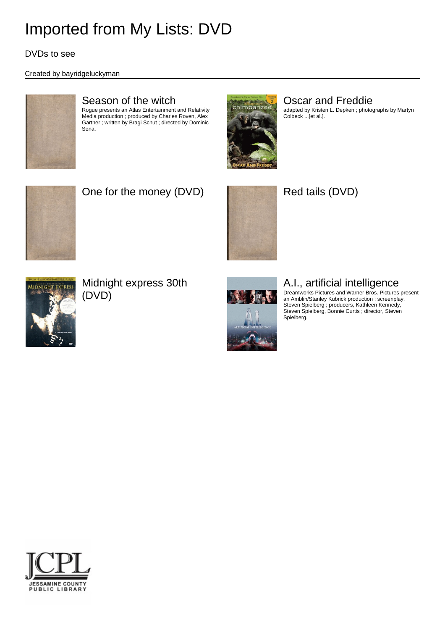DVDs to see

### Created by bayridgeluckyman



### Season of the witch

Rogue presents an Atlas Entertainment and Relativity Media production ; produced by Charles Roven, Alex Gartner ; written by Bragi Schut ; directed by Dominic Sena.



### Oscar and Freddie

adapted by Kristen L. Depken ; photographs by Martyn Colbeck ...[et al.].



## One for the money (DVD) Red tails (DVD)





Midnight express 30th (DVD)



### A.I., artificial intelligence

Dreamworks Pictures and Warner Bros. Pictures present an Amblin/Stanley Kubrick production ; screenplay, Steven Spielberg ; producers, Kathleen Kennedy, Steven Spielberg, Bonnie Curtis ; director, Steven Spielberg.